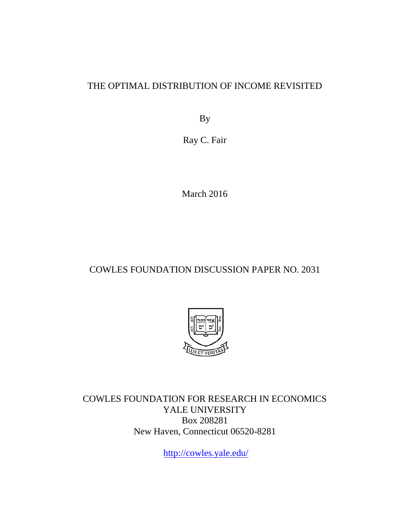### THE OPTIMAL DISTRIBUTION OF INCOME REVISITED

By

Ray C. Fair

March 2016

### COWLES FOUNDATION DISCUSSION PAPER NO. 2031



COWLES FOUNDATION FOR RESEARCH IN ECONOMICS YALE UNIVERSITY Box 208281 New Haven, Connecticut 06520-8281

<http://cowles.yale.edu/>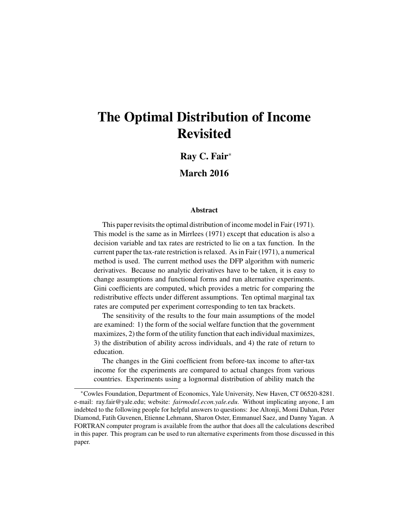# The Optimal Distribution of Income Revisited

Ray C. Fair<sup>∗</sup>

March 2016

#### Abstract

This paper revisits the optimal distribution of income model in Fair (1971). This model is the same as in Mirrlees (1971) except that education is also a decision variable and tax rates are restricted to lie on a tax function. In the current paper the tax-rate restriction is relaxed. As in Fair (1971), a numerical method is used. The current method uses the DFP algorithm with numeric derivatives. Because no analytic derivatives have to be taken, it is easy to change assumptions and functional forms and run alternative experiments. Gini coefficients are computed, which provides a metric for comparing the redistributive effects under different assumptions. Ten optimal marginal tax rates are computed per experiment corresponding to ten tax brackets.

The sensitivity of the results to the four main assumptions of the model are examined: 1) the form of the social welfare function that the government maximizes, 2) the form of the utility function that each individual maximizes, 3) the distribution of ability across individuals, and 4) the rate of return to education.

The changes in the Gini coefficient from before-tax income to after-tax income for the experiments are compared to actual changes from various countries. Experiments using a lognormal distribution of ability match the

<sup>∗</sup>Cowles Foundation, Department of Economics, Yale University, New Haven, CT 06520-8281. e-mail: ray.fair@yale.edu; website: *fairmodel.econ.yale.edu*. Without implicating anyone, I am indebted to the following people for helpful answers to questions: Joe Altonji, Momi Dahan, Peter Diamond, Fatih Guvenen, Etienne Lehmann, Sharon Oster, Emmanuel Saez, and Danny Yagan. A FORTRAN computer program is available from the author that does all the calculations described in this paper. This program can be used to run alternative experiments from those discussed in this paper.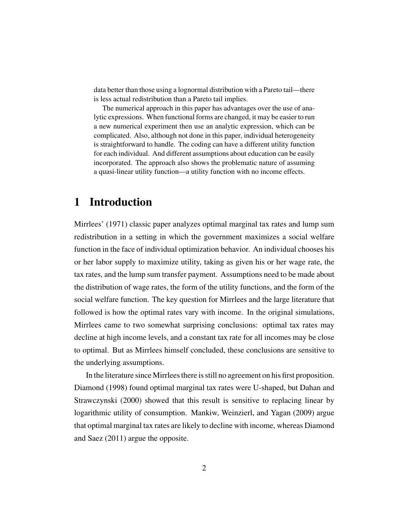data better than those using a lognormal distribution with a Pareto tail—there is less actual redistribution than a Pareto tail implies.

The numerical approach in this paper has advantages over the use of analytic expressions. When functional forms are changed, it may be easier to run a new numerical experiment then use an analytic expression, which can be complicated. Also, although not done in this paper, individual heterogeneity is straightforward to handle. The coding can have a different utility function for each individual. And different assumptions about education can be easily incorporated. The approach also shows the problematic nature of assuming a quasi-linear utility function—a utility function with no income effects.

## 1 Introduction

Mirrlees' (1971) classic paper analyzes optimal marginal tax rates and lump sum redistribution in a setting in which the government maximizes a social welfare function in the face of individual optimization behavior. An individual chooses his or her labor supply to maximize utility, taking as given his or her wage rate, the tax rates, and the lump sum transfer payment. Assumptions need to be made about the distribution of wage rates, the form of the utility functions, and the form of the social welfare function. The key question for Mirrlees and the large literature that followed is how the optimal rates vary with income. In the original simulations, Mirrlees came to two somewhat surprising conclusions: optimal tax rates may decline at high income levels, and a constant tax rate for all incomes may be close to optimal. But as Mirrlees himself concluded, these conclusions are sensitive to the underlying assumptions.

In the literature since Mirrlees there is still no agreement on his first proposition. Diamond (1998) found optimal marginal tax rates were U-shaped, but Dahan and Strawczynski (2000) showed that this result is sensitive to replacing linear by logarithmic utility of consumption. Mankiw, Weinzierl, and Yagan (2009) argue that optimal marginal tax rates are likely to decline with income, whereas Diamond and Saez (2011) argue the opposite.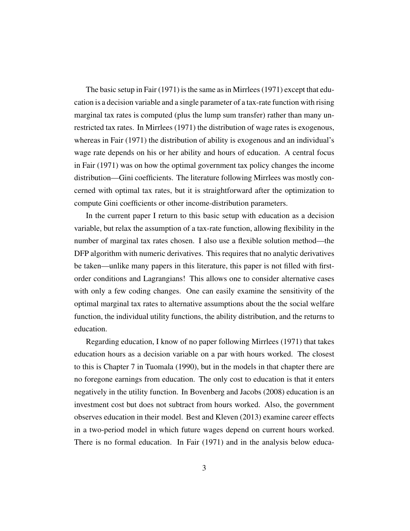The basic setup in Fair (1971) is the same as in Mirrlees (1971) except that education is a decision variable and a single parameter of a tax-rate function with rising marginal tax rates is computed (plus the lump sum transfer) rather than many unrestricted tax rates. In Mirrlees (1971) the distribution of wage rates is exogenous, whereas in Fair (1971) the distribution of ability is exogenous and an individual's wage rate depends on his or her ability and hours of education. A central focus in Fair (1971) was on how the optimal government tax policy changes the income distribution—Gini coefficients. The literature following Mirrlees was mostly concerned with optimal tax rates, but it is straightforward after the optimization to compute Gini coefficients or other income-distribution parameters.

In the current paper I return to this basic setup with education as a decision variable, but relax the assumption of a tax-rate function, allowing flexibility in the number of marginal tax rates chosen. I also use a flexible solution method—the DFP algorithm with numeric derivatives. This requires that no analytic derivatives be taken—unlike many papers in this literature, this paper is not filled with firstorder conditions and Lagrangians! This allows one to consider alternative cases with only a few coding changes. One can easily examine the sensitivity of the optimal marginal tax rates to alternative assumptions about the the social welfare function, the individual utility functions, the ability distribution, and the returns to education.

Regarding education, I know of no paper following Mirrlees (1971) that takes education hours as a decision variable on a par with hours worked. The closest to this is Chapter 7 in Tuomala (1990), but in the models in that chapter there are no foregone earnings from education. The only cost to education is that it enters negatively in the utility function. In Bovenberg and Jacobs (2008) education is an investment cost but does not subtract from hours worked. Also, the government observes education in their model. Best and Kleven (2013) examine career effects in a two-period model in which future wages depend on current hours worked. There is no formal education. In Fair (1971) and in the analysis below educa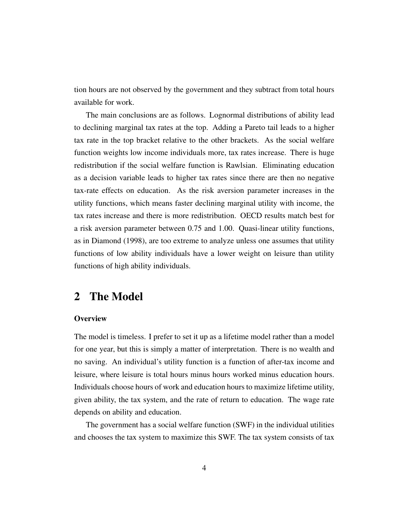tion hours are not observed by the government and they subtract from total hours available for work.

The main conclusions are as follows. Lognormal distributions of ability lead to declining marginal tax rates at the top. Adding a Pareto tail leads to a higher tax rate in the top bracket relative to the other brackets. As the social welfare function weights low income individuals more, tax rates increase. There is huge redistribution if the social welfare function is Rawlsian. Eliminating education as a decision variable leads to higher tax rates since there are then no negative tax-rate effects on education. As the risk aversion parameter increases in the utility functions, which means faster declining marginal utility with income, the tax rates increase and there is more redistribution. OECD results match best for a risk aversion parameter between 0.75 and 1.00. Quasi-linear utility functions, as in Diamond (1998), are too extreme to analyze unless one assumes that utility functions of low ability individuals have a lower weight on leisure than utility functions of high ability individuals.

### 2 The Model

#### **Overview**

The model is timeless. I prefer to set it up as a lifetime model rather than a model for one year, but this is simply a matter of interpretation. There is no wealth and no saving. An individual's utility function is a function of after-tax income and leisure, where leisure is total hours minus hours worked minus education hours. Individuals choose hours of work and education hours to maximize lifetime utility, given ability, the tax system, and the rate of return to education. The wage rate depends on ability and education.

The government has a social welfare function (SWF) in the individual utilities and chooses the tax system to maximize this SWF. The tax system consists of tax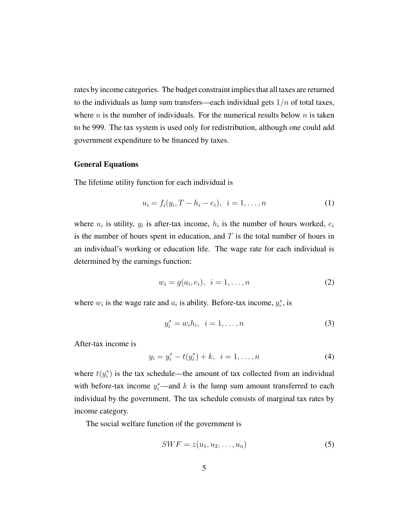rates by income categories. The budget constraint implies that all taxes are returned to the individuals as lump sum transfers—each individual gets  $1/n$  of total taxes, where  $n$  is the number of individuals. For the numerical results below  $n$  is taken to be 999. The tax system is used only for redistribution, although one could add government expenditure to be financed by taxes.

#### General Equations

The lifetime utility function for each individual is

$$
u_i = f_i(y_i, T - h_i - e_i), \quad i = 1, \dots, n
$$
 (1)

where  $u_i$  is utility,  $y_i$  is after-tax income,  $h_i$  is the number of hours worked,  $e_i$ is the number of hours spent in education, and  $T$  is the total number of hours in an individual's working or education life. The wage rate for each individual is determined by the earnings function:

$$
w_i = g(a_i, e_i), \ \ i = 1, \dots, n \tag{2}
$$

where  $w_i$  is the wage rate and  $a_i$  is ability. Before-tax income,  $y_i^*$ , is

$$
y_i^* = w_i h_i, \ \ i = 1, \dots, n \tag{3}
$$

After-tax income is

$$
y_i = y_i^* - t(y_i^*) + k, \ \ i = 1, \dots, n \tag{4}
$$

where  $t(y_i^*)$  is the tax schedule—the amount of tax collected from an individual with before-tax income  $y_i^*$ —and k is the lump sum amount transferred to each individual by the government. The tax schedule consists of marginal tax rates by income category.

The social welfare function of the government is

$$
SWF = z(u_1, u_2, \dots, u_n) \tag{5}
$$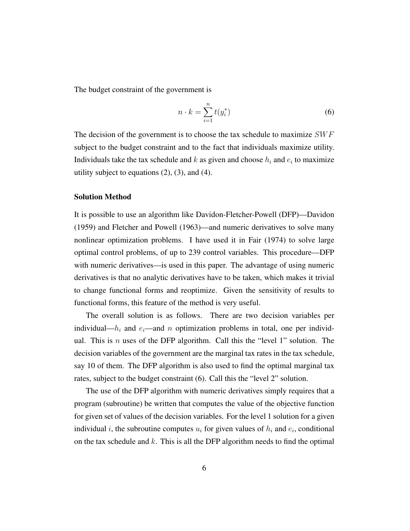The budget constraint of the government is

$$
n \cdot k = \sum_{i=1}^{n} t(y_i^*)
$$
\n<sup>(6)</sup>

The decision of the government is to choose the tax schedule to maximize  $SWF$ subject to the budget constraint and to the fact that individuals maximize utility. Individuals take the tax schedule and k as given and choose  $h_i$  and  $e_i$  to maximize utility subject to equations  $(2)$ ,  $(3)$ , and  $(4)$ .

#### Solution Method

It is possible to use an algorithm like Davidon-Fletcher-Powell (DFP)—Davidon (1959) and Fletcher and Powell (1963)—and numeric derivatives to solve many nonlinear optimization problems. I have used it in Fair (1974) to solve large optimal control problems, of up to 239 control variables. This procedure—DFP with numeric derivatives—is used in this paper. The advantage of using numeric derivatives is that no analytic derivatives have to be taken, which makes it trivial to change functional forms and reoptimize. Given the sensitivity of results to functional forms, this feature of the method is very useful.

The overall solution is as follows. There are two decision variables per individual— $h_i$  and  $e_i$ —and n optimization problems in total, one per individual. This is n uses of the DFP algorithm. Call this the "level 1" solution. The decision variables of the government are the marginal tax rates in the tax schedule, say 10 of them. The DFP algorithm is also used to find the optimal marginal tax rates, subject to the budget constraint (6). Call this the "level 2" solution.

The use of the DFP algorithm with numeric derivatives simply requires that a program (subroutine) be written that computes the value of the objective function for given set of values of the decision variables. For the level 1 solution for a given individual *i*, the subroutine computes  $u_i$  for given values of  $h_i$  and  $e_i$ , conditional on the tax schedule and  $k$ . This is all the DFP algorithm needs to find the optimal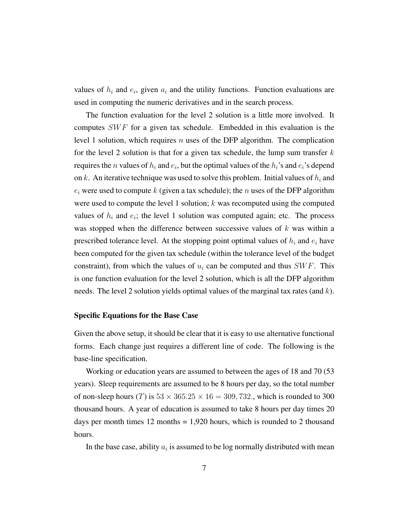values of  $h_i$  and  $e_i$ , given  $a_i$  and the utility functions. Function evaluations are used in computing the numeric derivatives and in the search process.

The function evaluation for the level 2 solution is a little more involved. It computes  $SWF$  for a given tax schedule. Embedded in this evaluation is the level 1 solution, which requires  $n$  uses of the DFP algorithm. The complication for the level 2 solution is that for a given tax schedule, the lump sum transfer  $k$ requires the *n* values of  $h_i$  and  $e_i$ , but the optimal values of the  $h_i$ 's and  $e_i$ 's depend on k. An iterative technique was used to solve this problem. Initial values of  $h_i$  and  $e_i$  were used to compute k (given a tax schedule); the n uses of the DFP algorithm were used to compute the level 1 solution;  $k$  was recomputed using the computed values of  $h_i$  and  $e_i$ ; the level 1 solution was computed again; etc. The process was stopped when the difference between successive values of  $k$  was within a prescribed tolerance level. At the stopping point optimal values of  $h_i$  and  $e_i$  have been computed for the given tax schedule (within the tolerance level of the budget constraint), from which the values of  $u_i$  can be computed and thus  $SWF$ . This is one function evaluation for the level 2 solution, which is all the DFP algorithm needs. The level 2 solution yields optimal values of the marginal tax rates (and  $k$ ).

#### Specific Equations for the Base Case

Given the above setup, it should be clear that it is easy to use alternative functional forms. Each change just requires a different line of code. The following is the base-line specification.

Working or education years are assumed to between the ages of 18 and 70 (53 years). Sleep requirements are assumed to be 8 hours per day, so the total number of non-sleep hours (T) is  $53 \times 365.25 \times 16 = 309,732$ , which is rounded to 300 thousand hours. A year of education is assumed to take 8 hours per day times 20 days per month times  $12$  months  $= 1,920$  hours, which is rounded to 2 thousand hours.

In the base case, ability  $a_i$  is assumed to be log normally distributed with mean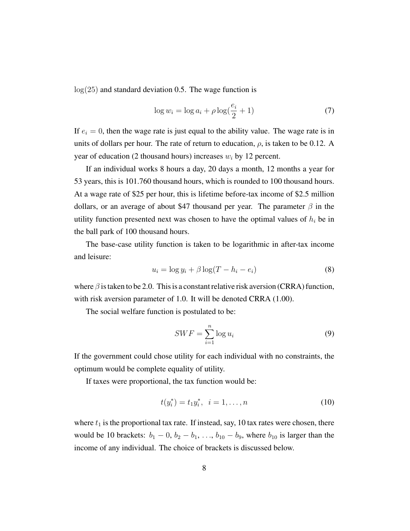$log(25)$  and standard deviation 0.5. The wage function is

$$
\log w_i = \log a_i + \rho \log(\frac{e_i}{2} + 1) \tag{7}
$$

If  $e_i = 0$ , then the wage rate is just equal to the ability value. The wage rate is in units of dollars per hour. The rate of return to education,  $\rho$ , is taken to be 0.12. A year of education (2 thousand hours) increases  $w_i$  by 12 percent.

If an individual works 8 hours a day, 20 days a month, 12 months a year for 53 years, this is 101.760 thousand hours, which is rounded to 100 thousand hours. At a wage rate of \$25 per hour, this is lifetime before-tax income of \$2.5 million dollars, or an average of about \$47 thousand per year. The parameter  $\beta$  in the utility function presented next was chosen to have the optimal values of  $h_i$  be in the ball park of 100 thousand hours.

The base-case utility function is taken to be logarithmic in after-tax income and leisure:

$$
u_i = \log y_i + \beta \log(T - h_i - e_i)
$$
\n(8)

where  $\beta$  is taken to be 2.0. This is a constant relative risk aversion (CRRA) function, with risk aversion parameter of 1.0. It will be denoted CRRA (1.00).

The social welfare function is postulated to be:

$$
SWF = \sum_{i=1}^{n} \log u_i \tag{9}
$$

If the government could chose utility for each individual with no constraints, the optimum would be complete equality of utility.

If taxes were proportional, the tax function would be:

$$
t(y_i^*) = t_1 y_i^*, \ \ i = 1, \dots, n \tag{10}
$$

where  $t_1$  is the proportional tax rate. If instead, say, 10 tax rates were chosen, there would be 10 brackets:  $b_1 - 0$ ,  $b_2 - b_1$ , ...,  $b_{10} - b_9$ , where  $b_{10}$  is larger than the income of any individual. The choice of brackets is discussed below.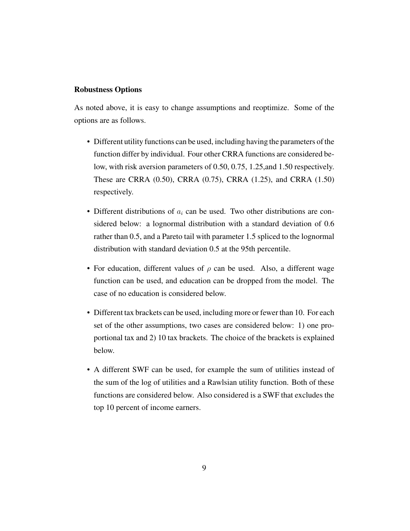#### Robustness Options

As noted above, it is easy to change assumptions and reoptimize. Some of the options are as follows.

- Different utility functions can be used, including having the parameters of the function differ by individual. Four other CRRA functions are considered below, with risk aversion parameters of 0.50, 0.75, 1.25,and 1.50 respectively. These are CRRA (0.50), CRRA (0.75), CRRA (1.25), and CRRA (1.50) respectively.
- Different distributions of  $a_i$  can be used. Two other distributions are considered below: a lognormal distribution with a standard deviation of 0.6 rather than 0.5, and a Pareto tail with parameter 1.5 spliced to the lognormal distribution with standard deviation 0.5 at the 95th percentile.
- For education, different values of  $\rho$  can be used. Also, a different wage function can be used, and education can be dropped from the model. The case of no education is considered below.
- Different tax brackets can be used, including more or fewer than 10. For each set of the other assumptions, two cases are considered below: 1) one proportional tax and 2) 10 tax brackets. The choice of the brackets is explained below.
- A different SWF can be used, for example the sum of utilities instead of the sum of the log of utilities and a Rawlsian utility function. Both of these functions are considered below. Also considered is a SWF that excludes the top 10 percent of income earners.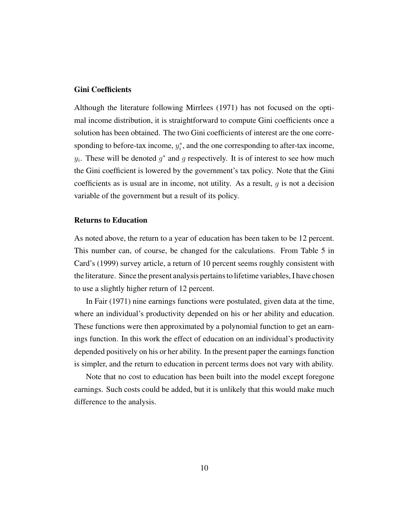#### Gini Coefficients

Although the literature following Mirrlees (1971) has not focused on the optimal income distribution, it is straightforward to compute Gini coefficients once a solution has been obtained. The two Gini coefficients of interest are the one corresponding to before-tax income,  $y_i^*$ , and the one corresponding to after-tax income,  $y_i$ . These will be denoted  $g^*$  and g respectively. It is of interest to see how much the Gini coefficient is lowered by the government's tax policy. Note that the Gini coefficients as is usual are in income, not utility. As a result,  $g$  is not a decision variable of the government but a result of its policy.

#### Returns to Education

As noted above, the return to a year of education has been taken to be 12 percent. This number can, of course, be changed for the calculations. From Table 5 in Card's (1999) survey article, a return of 10 percent seems roughly consistent with the literature. Since the present analysis pertains to lifetime variables, I have chosen to use a slightly higher return of 12 percent.

In Fair (1971) nine earnings functions were postulated, given data at the time, where an individual's productivity depended on his or her ability and education. These functions were then approximated by a polynomial function to get an earnings function. In this work the effect of education on an individual's productivity depended positively on his or her ability. In the present paper the earnings function is simpler, and the return to education in percent terms does not vary with ability.

Note that no cost to education has been built into the model except foregone earnings. Such costs could be added, but it is unlikely that this would make much difference to the analysis.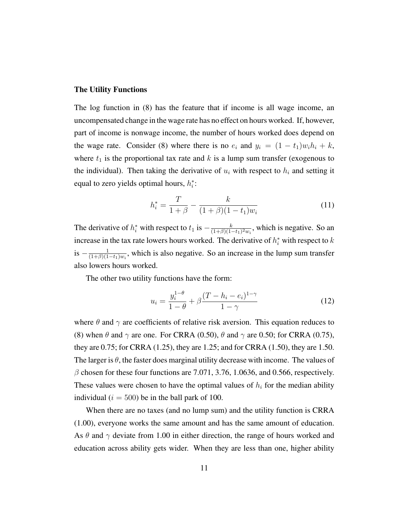#### The Utility Functions

The log function in (8) has the feature that if income is all wage income, an uncompensated change in the wage rate has no effect on hours worked. If, however, part of income is nonwage income, the number of hours worked does depend on the wage rate. Consider (8) where there is no  $e_i$  and  $y_i = (1 - t_1)w_i h_i + k$ , where  $t_1$  is the proportional tax rate and k is a lump sum transfer (exogenous to the individual). Then taking the derivative of  $u_i$  with respect to  $h_i$  and setting it equal to zero yields optimal hours,  $h_i^*$ :

$$
h_i^* = \frac{T}{1+\beta} - \frac{k}{(1+\beta)(1-t_1)w_i}
$$
(11)

The derivative of  $h_i^*$  with respect to  $t_1$  is  $-\frac{k}{(1+\beta)(1+\beta)}$  $\frac{k}{(1+\beta)(1-t_1)^2 w_i}$ , which is negative. So an increase in the tax rate lowers hours worked. The derivative of  $h_i^*$  with respect to k  $is - \frac{1}{(1+8)(1+8)}$  $\frac{1}{(1+\beta)(1-t_1)w_i}$ , which is also negative. So an increase in the lump sum transfer also lowers hours worked.

The other two utility functions have the form:

$$
u_i = \frac{y_i^{1-\theta}}{1-\theta} + \beta \frac{(T - h_i - e_i)^{1-\gamma}}{1-\gamma}
$$
 (12)

where  $\theta$  and  $\gamma$  are coefficients of relative risk aversion. This equation reduces to (8) when  $\theta$  and  $\gamma$  are one. For CRRA (0.50),  $\theta$  and  $\gamma$  are 0.50; for CRRA (0.75), they are 0.75; for CRRA (1.25), they are 1.25; and for CRRA (1.50), they are 1.50. The larger is  $\theta$ , the faster does marginal utility decrease with income. The values of  $\beta$  chosen for these four functions are 7.071, 3.76, 1.0636, and 0.566, respectively. These values were chosen to have the optimal values of  $h_i$  for the median ability individual ( $i = 500$ ) be in the ball park of 100.

When there are no taxes (and no lump sum) and the utility function is CRRA (1.00), everyone works the same amount and has the same amount of education. As  $\theta$  and  $\gamma$  deviate from 1.00 in either direction, the range of hours worked and education across ability gets wider. When they are less than one, higher ability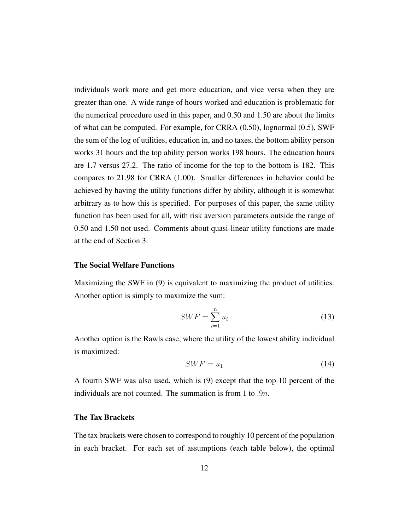individuals work more and get more education, and vice versa when they are greater than one. A wide range of hours worked and education is problematic for the numerical procedure used in this paper, and 0.50 and 1.50 are about the limits of what can be computed. For example, for CRRA (0.50), lognormal (0.5), SWF the sum of the log of utilities, education in, and no taxes, the bottom ability person works 31 hours and the top ability person works 198 hours. The education hours are 1.7 versus 27.2. The ratio of income for the top to the bottom is 182. This compares to 21.98 for CRRA (1.00). Smaller differences in behavior could be achieved by having the utility functions differ by ability, although it is somewhat arbitrary as to how this is specified. For purposes of this paper, the same utility function has been used for all, with risk aversion parameters outside the range of 0.50 and 1.50 not used. Comments about quasi-linear utility functions are made at the end of Section 3.

#### The Social Welfare Functions

Maximizing the SWF in (9) is equivalent to maximizing the product of utilities. Another option is simply to maximize the sum:

$$
SWF = \sum_{i=1}^{n} u_i
$$
\n(13)

Another option is the Rawls case, where the utility of the lowest ability individual is maximized:

$$
SWF = u_1 \tag{14}
$$

A fourth SWF was also used, which is (9) except that the top 10 percent of the individuals are not counted. The summation is from 1 to  $.9n$ .

#### The Tax Brackets

The tax brackets were chosen to correspond to roughly 10 percent of the population in each bracket. For each set of assumptions (each table below), the optimal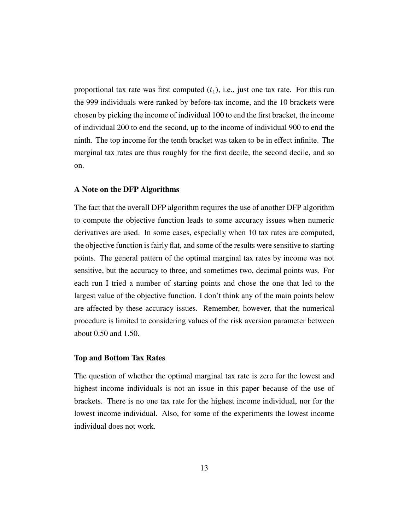proportional tax rate was first computed  $(t_1)$ , i.e., just one tax rate. For this run the 999 individuals were ranked by before-tax income, and the 10 brackets were chosen by picking the income of individual 100 to end the first bracket, the income of individual 200 to end the second, up to the income of individual 900 to end the ninth. The top income for the tenth bracket was taken to be in effect infinite. The marginal tax rates are thus roughly for the first decile, the second decile, and so on.

#### A Note on the DFP Algorithms

The fact that the overall DFP algorithm requires the use of another DFP algorithm to compute the objective function leads to some accuracy issues when numeric derivatives are used. In some cases, especially when 10 tax rates are computed, the objective function is fairly flat, and some of the results were sensitive to starting points. The general pattern of the optimal marginal tax rates by income was not sensitive, but the accuracy to three, and sometimes two, decimal points was. For each run I tried a number of starting points and chose the one that led to the largest value of the objective function. I don't think any of the main points below are affected by these accuracy issues. Remember, however, that the numerical procedure is limited to considering values of the risk aversion parameter between about 0.50 and 1.50.

#### Top and Bottom Tax Rates

The question of whether the optimal marginal tax rate is zero for the lowest and highest income individuals is not an issue in this paper because of the use of brackets. There is no one tax rate for the highest income individual, nor for the lowest income individual. Also, for some of the experiments the lowest income individual does not work.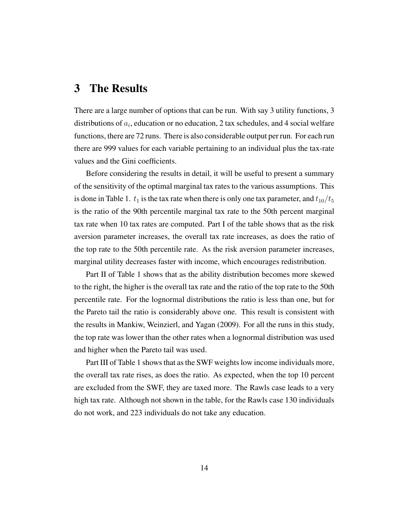### 3 The Results

There are a large number of options that can be run. With say 3 utility functions, 3 distributions of  $a_i$ , education or no education, 2 tax schedules, and 4 social welfare functions, there are 72 runs. There is also considerable output per run. For each run there are 999 values for each variable pertaining to an individual plus the tax-rate values and the Gini coefficients.

Before considering the results in detail, it will be useful to present a summary of the sensitivity of the optimal marginal tax rates to the various assumptions. This is done in Table 1.  $t_1$  is the tax rate when there is only one tax parameter, and  $t_{10}/t_5$ is the ratio of the 90th percentile marginal tax rate to the 50th percent marginal tax rate when 10 tax rates are computed. Part I of the table shows that as the risk aversion parameter increases, the overall tax rate increases, as does the ratio of the top rate to the 50th percentile rate. As the risk aversion parameter increases, marginal utility decreases faster with income, which encourages redistribution.

Part II of Table 1 shows that as the ability distribution becomes more skewed to the right, the higher is the overall tax rate and the ratio of the top rate to the 50th percentile rate. For the lognormal distributions the ratio is less than one, but for the Pareto tail the ratio is considerably above one. This result is consistent with the results in Mankiw, Weinzierl, and Yagan (2009). For all the runs in this study, the top rate was lower than the other rates when a lognormal distribution was used and higher when the Pareto tail was used.

Part III of Table 1 shows that as the SWF weights low income individuals more, the overall tax rate rises, as does the ratio. As expected, when the top 10 percent are excluded from the SWF, they are taxed more. The Rawls case leads to a very high tax rate. Although not shown in the table, for the Rawls case 130 individuals do not work, and 223 individuals do not take any education.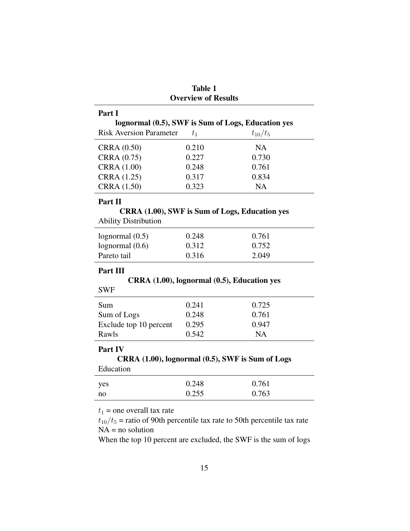|                                | <b>Table 1</b>             |                                                    |
|--------------------------------|----------------------------|----------------------------------------------------|
|                                | <b>Overview of Results</b> |                                                    |
| Part I                         |                            |                                                    |
|                                |                            | lognormal (0.5), SWF is Sum of Logs, Education yes |
| <b>Risk Aversion Parameter</b> | $t_1$                      | $t_{10}/t_{5}$                                     |
| <b>CRRA</b> (0.50)             | 0.210                      | <b>NA</b>                                          |
| CRRA (0.75)                    | 0.227                      | 0.730                                              |
| <b>CRRA</b> (1.00)             | 0.248                      | 0.761                                              |
| CRRA (1.25)                    | 0.317                      | 0.834                                              |
| CRRA (1.50)                    | 0.323                      | <b>NA</b>                                          |
| Part II                        |                            |                                                    |
|                                |                            | CRRA (1.00), SWF is Sum of Logs, Education yes     |
| <b>Ability Distribution</b>    |                            |                                                    |
| lognormal $(0.5)$              | 0.248                      | 0.761                                              |
| lognormal $(0.6)$              | 0.312                      | 0.752                                              |
| Pareto tail                    | 0.316                      | 2.049                                              |
| Part III                       |                            |                                                    |
|                                |                            | CRRA (1.00), lognormal (0.5), Education yes        |
| <b>SWF</b>                     |                            |                                                    |
| Sum                            | 0.241                      | 0.725                                              |
| Sum of Logs                    | 0.248                      | 0.761                                              |
| Exclude top 10 percent         | 0.295                      | 0.947                                              |
| Rawls                          | 0.542                      | <b>NA</b>                                          |
| Part IV                        |                            |                                                    |
|                                |                            | CRRA (1.00), lognormal (0.5), SWF is Sum of Logs   |
| Education                      |                            |                                                    |
|                                |                            |                                                    |
| yes                            | 0.248                      | 0.761                                              |

 $t_{10}/t_5$  = ratio of 90th percentile tax rate to 50th percentile tax rate  $NA$  = no solution

When the top 10 percent are excluded, the SWF is the sum of logs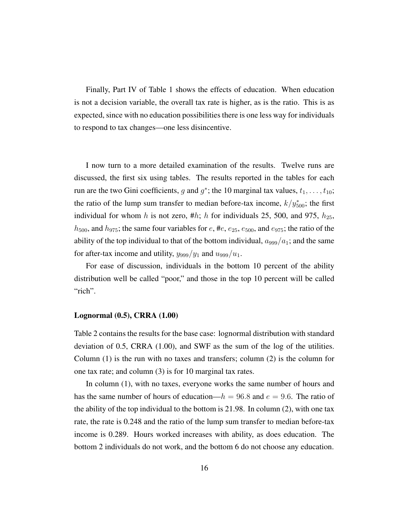Finally, Part IV of Table 1 shows the effects of education. When education is not a decision variable, the overall tax rate is higher, as is the ratio. This is as expected, since with no education possibilities there is one less way for individuals to respond to tax changes—one less disincentive.

I now turn to a more detailed examination of the results. Twelve runs are discussed, the first six using tables. The results reported in the tables for each run are the two Gini coefficients, g and  $g^*$ ; the 10 marginal tax values,  $t_1, \ldots, t_{10}$ ; the ratio of the lump sum transfer to median before-tax income,  $k/y_{500}^*$ ; the first individual for whom h is not zero, #h; h for individuals 25, 500, and 975,  $h_{25}$ ,  $h_{500}$ , and  $h_{975}$ ; the same four variables for e, #e, e<sub>25</sub>, e<sub>500</sub>, and e<sub>975</sub>; the ratio of the ability of the top individual to that of the bottom individual,  $a_{999}/a_1$ ; and the same for after-tax income and utility,  $y_{999}/y_1$  and  $u_{999}/u_1$ .

For ease of discussion, individuals in the bottom 10 percent of the ability distribution well be called "poor," and those in the top 10 percent will be called "rich".

#### Lognormal (0.5), CRRA (1.00)

Table 2 contains the results for the base case: lognormal distribution with standard deviation of 0.5, CRRA (1.00), and SWF as the sum of the log of the utilities. Column (1) is the run with no taxes and transfers; column (2) is the column for one tax rate; and column (3) is for 10 marginal tax rates.

In column (1), with no taxes, everyone works the same number of hours and has the same number of hours of education— $h = 96.8$  and  $e = 9.6$ . The ratio of the ability of the top individual to the bottom is 21.98. In column (2), with one tax rate, the rate is 0.248 and the ratio of the lump sum transfer to median before-tax income is 0.289. Hours worked increases with ability, as does education. The bottom 2 individuals do not work, and the bottom 6 do not choose any education.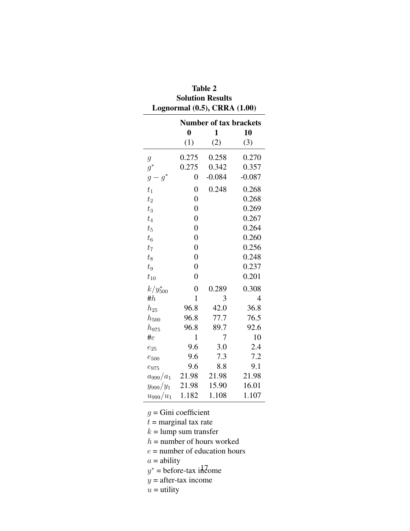| Lognormal (0.5), CRRA (1.00) |                               |          |          |  |
|------------------------------|-------------------------------|----------|----------|--|
|                              | <b>Number of tax brackets</b> |          |          |  |
|                              | $\bf{0}$                      | 1        | 10       |  |
|                              | (1)                           | (2)      | (3)      |  |
| $\mathfrak g$                | 0.275                         | 0.258    | 0.270    |  |
| $g^*$                        | 0.275                         | 0.342    | 0.357    |  |
| $g^\ast$<br>$\overline{g}$   | $\overline{0}$                | $-0.084$ | $-0.087$ |  |
| $t_1$                        | $\overline{0}$                | 0.248    | 0.268    |  |
| $t_2$                        | $\overline{0}$                |          | 0.268    |  |
| $t_3$                        | $\overline{0}$                |          | 0.269    |  |
| $t_4$                        | $\overline{0}$                |          | 0.267    |  |
| $t_{5}$                      | $\overline{0}$                |          | 0.264    |  |
| $t_6$                        | $\overline{0}$                |          | 0.260    |  |
| t <sub>7</sub>               | $\overline{0}$                |          | 0.256    |  |
| $t_8$                        | $\overline{0}$                |          | 0.248    |  |
| $t_{9}$                      | $\overline{0}$                |          | 0.237    |  |
| $t_{10}$                     | $\overline{0}$                |          | 0.201    |  |
| $k/y_{500}^*$                | $\overline{0}$                | 0.289    | 0.308    |  |
| # $h$                        | $\mathbf{1}$                  | 3        | 4        |  |
| $h_{25}$                     | 96.8                          | 42.0     | 36.8     |  |
| $h_\mathrm{500}$             | 96.8                          | 77.7     | 76.5     |  |
| $h_{975}$                    | 96.8                          | 89.7     | 92.6     |  |
| $\#e$                        | $\mathbf{1}$                  | 7        | 10       |  |
| $e_{25}$                     | 9.6                           | 3.0      | 2.4      |  |
| $e_{500}$                    | 9.6                           | 7.3      | 7.2      |  |
| $e_{975}$                    | 9.6                           | 8.8      | 9.1      |  |
| $a_{999}/a_1$                | 21.98                         | 21.98    | 21.98    |  |
| $y_{999}/y_1$                | 21.98                         | 15.90    | 16.01    |  |
| $u_{999}/u_1$                | 1.182                         | 1.108    | 1.107    |  |

Table 2 **Solution Results** 

 $g =$ Gini coefficient

 $t =$  marginal tax rate

 $k =$ lump sum transfer

 $h =$  number of hours worked

 $e$  = number of education hours

 $a =$ ability

 $y^*$  = before-tax income

 $y =$  after-tax income

 $u =$ utility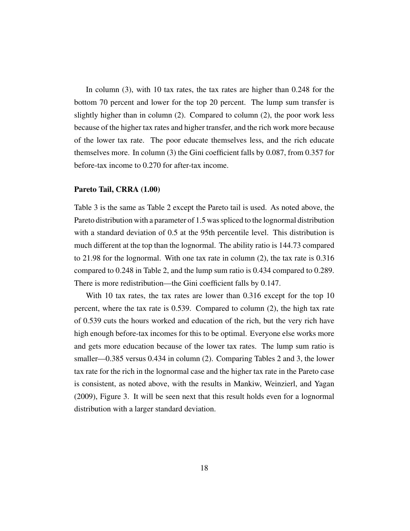In column (3), with 10 tax rates, the tax rates are higher than 0.248 for the bottom 70 percent and lower for the top 20 percent. The lump sum transfer is slightly higher than in column (2). Compared to column (2), the poor work less because of the higher tax rates and higher transfer, and the rich work more because of the lower tax rate. The poor educate themselves less, and the rich educate themselves more. In column (3) the Gini coefficient falls by 0.087, from 0.357 for before-tax income to 0.270 for after-tax income.

#### Pareto Tail, CRRA (1.00)

Table 3 is the same as Table 2 except the Pareto tail is used. As noted above, the Pareto distribution with a parameter of 1.5 was spliced to the lognormal distribution with a standard deviation of 0.5 at the 95th percentile level. This distribution is much different at the top than the lognormal. The ability ratio is 144.73 compared to 21.98 for the lognormal. With one tax rate in column (2), the tax rate is 0.316 compared to 0.248 in Table 2, and the lump sum ratio is 0.434 compared to 0.289. There is more redistribution—the Gini coefficient falls by 0.147.

With 10 tax rates, the tax rates are lower than 0.316 except for the top 10 percent, where the tax rate is 0.539. Compared to column (2), the high tax rate of 0.539 cuts the hours worked and education of the rich, but the very rich have high enough before-tax incomes for this to be optimal. Everyone else works more and gets more education because of the lower tax rates. The lump sum ratio is smaller—0.385 versus 0.434 in column (2). Comparing Tables 2 and 3, the lower tax rate for the rich in the lognormal case and the higher tax rate in the Pareto case is consistent, as noted above, with the results in Mankiw, Weinzierl, and Yagan (2009), Figure 3. It will be seen next that this result holds even for a lognormal distribution with a larger standard deviation.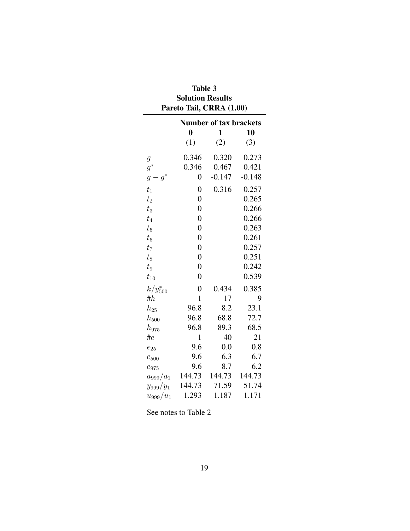| Pareto Tail, CRRA (1.00)      |                |          |          |  |
|-------------------------------|----------------|----------|----------|--|
| <b>Number of tax brackets</b> |                |          |          |  |
|                               | $\bf{0}$       | 1        | 10       |  |
|                               | (1)            | (2)      | (3)      |  |
| $\mathcal{G}$                 | 0.346          | 0.320    | 0.273    |  |
| $g^*$                         | 0.346          | 0.467    | 0.421    |  |
| $g^*$<br>$\mathfrak{g}$       | $\overline{0}$ | $-0.147$ | $-0.148$ |  |
| $t_1$                         | $\overline{0}$ | 0.316    | 0.257    |  |
| $t_2$                         | $\overline{0}$ |          | 0.265    |  |
| $t_3$                         | $\overline{0}$ |          | 0.266    |  |
| $t_4$                         | $\overline{0}$ |          | 0.266    |  |
| $t_{5}$                       | $\overline{0}$ |          | 0.263    |  |
| $t_{\rm 6}$                   | $\overline{0}$ |          | 0.261    |  |
| $t_7$                         | $\overline{0}$ |          | 0.257    |  |
| $t_8$                         | $\overline{0}$ |          | 0.251    |  |
| $\sqrt{t_{9}}$                | $\overline{0}$ |          | 0.242    |  |
| $t_{10}$                      | $\overline{0}$ |          | 0.539    |  |
| $k/y^{*}_{500}$               | $\overline{0}$ | 0.434    | 0.385    |  |
| # $h$                         | $\mathbf{1}$   | 17       | 9        |  |
| $h_{25}$                      | 96.8           | 8.2      | 23.1     |  |
| $h_{500}$                     | 96.8           | 68.8     | 72.7     |  |
| $h_{975}$                     | 96.8           | 89.3     | 68.5     |  |
| # $e$                         | $\mathbf 1$    | 40       | 21       |  |
| $e_{25}$                      | 9.6            | 0.0      | 0.8      |  |
| $e_{500}$                     | 9.6            | 6.3      | 6.7      |  |
| $e_{975}$                     | 9.6            | 8.7      | 6.2      |  |
| $a_{999}/a_1$                 | 144.73         | 144.73   | 144.73   |  |
| $y_{999}/y_1$                 | 144.73         | 71.59    | 51.74    |  |
| $u_{999}/u_{1}$               | 1.293          | 1.187    | 1.171    |  |

#### Table 3 **Solution Results**  $\epsilon$  T<sub>2</sub>:1 CDD  $\lambda$  (1.00)  $\mathbf{r}$  $\mathbf{r}$

See notes to Table 2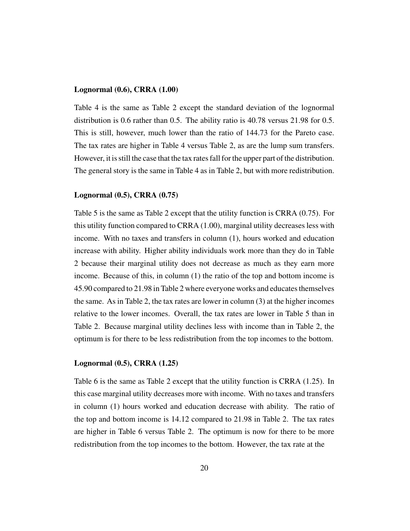#### Lognormal (0.6), CRRA (1.00)

Table 4 is the same as Table 2 except the standard deviation of the lognormal distribution is 0.6 rather than 0.5. The ability ratio is 40.78 versus 21.98 for 0.5. This is still, however, much lower than the ratio of 144.73 for the Pareto case. The tax rates are higher in Table 4 versus Table 2, as are the lump sum transfers. However, it is still the case that the tax rates fall for the upper part of the distribution. The general story is the same in Table 4 as in Table 2, but with more redistribution.

#### Lognormal (0.5), CRRA (0.75)

Table 5 is the same as Table 2 except that the utility function is CRRA (0.75). For this utility function compared to CRRA (1.00), marginal utility decreases less with income. With no taxes and transfers in column (1), hours worked and education increase with ability. Higher ability individuals work more than they do in Table 2 because their marginal utility does not decrease as much as they earn more income. Because of this, in column (1) the ratio of the top and bottom income is 45.90 compared to 21.98 in Table 2 where everyone works and educates themselves the same. As in Table 2, the tax rates are lower in column (3) at the higher incomes relative to the lower incomes. Overall, the tax rates are lower in Table 5 than in Table 2. Because marginal utility declines less with income than in Table 2, the optimum is for there to be less redistribution from the top incomes to the bottom.

#### Lognormal (0.5), CRRA (1.25)

Table 6 is the same as Table 2 except that the utility function is CRRA (1.25). In this case marginal utility decreases more with income. With no taxes and transfers in column (1) hours worked and education decrease with ability. The ratio of the top and bottom income is 14.12 compared to 21.98 in Table 2. The tax rates are higher in Table 6 versus Table 2. The optimum is now for there to be more redistribution from the top incomes to the bottom. However, the tax rate at the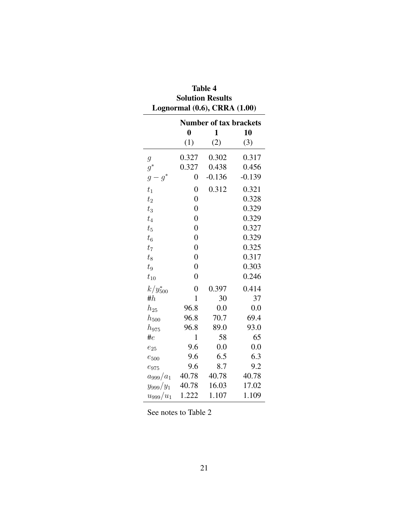| Lognormal (0.6), CRRA (1.00) |                               |          |          |  |
|------------------------------|-------------------------------|----------|----------|--|
|                              | <b>Number of tax brackets</b> |          |          |  |
|                              | $\boldsymbol{0}$              | 1        | 10       |  |
|                              | (1)                           | (2)      | (3)      |  |
| $\mathcal{G}_{\mathcal{A}}$  | 0.327                         | 0.302    | 0.317    |  |
| $g^*$                        | 0.327                         | 0.438    | 0.456    |  |
| $g^*$<br>$\mathfrak g$       | $\overline{0}$                | $-0.136$ | $-0.139$ |  |
| $t_1$                        | $\overline{0}$                | 0.312    | 0.321    |  |
| $t_2$                        | $\overline{0}$                |          | 0.328    |  |
| $t_3$                        | $\overline{0}$                |          | 0.329    |  |
| $t_4$                        | $\overline{0}$                |          | 0.329    |  |
| $t_{5}$                      | $\overline{0}$                |          | 0.327    |  |
| $t_6$                        | $\overline{0}$                |          | 0.329    |  |
| $t_7$                        | $\overline{0}$                |          | 0.325    |  |
| $t_8$                        | $\overline{0}$                |          | 0.317    |  |
| $t_{9}$                      | $\overline{0}$                |          | 0.303    |  |
| $t_{10}$                     | $\overline{0}$                |          | 0.246    |  |
| $k/y_{500}^*$                | $\overline{0}$                | 0.397    | 0.414    |  |
| # $h$                        | 1                             | 30       | 37       |  |
| $h_{25}$                     | 96.8                          | 0.0      | 0.0      |  |
| $h_{500}$                    | 96.8                          | 70.7     | 69.4     |  |
| $h_{975}$                    | 96.8                          | 89.0     | 93.0     |  |
| # $e$                        | $\mathbf{1}$                  | 58       | 65       |  |
| $e_{25}$                     | 9.6                           | 0.0      | 0.0      |  |
| $e_{500}$                    | 9.6                           | 6.5      | 6.3      |  |
| $e_{975}$                    | 9.6                           | 8.7      | 9.2      |  |
| $a_{999}/a_1$                | 40.78                         | 40.78    | 40.78    |  |
| $y_{999}/y_1$                | 40.78                         | 16.03    | 17.02    |  |
| $u_{999}/u_{1}$              | 1.222                         | 1.107    | 1.109    |  |

**Table 4 Solution Results** 

See notes to Table 2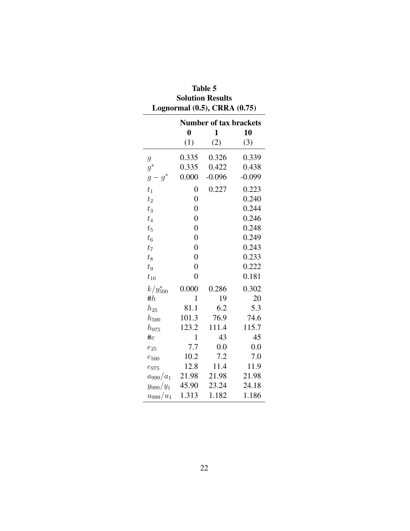| Lognormal (0.5), CRRA (0.75) |                               |          |          |
|------------------------------|-------------------------------|----------|----------|
|                              | <b>Number of tax brackets</b> |          |          |
|                              | $\boldsymbol{0}$              | 1        | 10       |
|                              | (1)                           | (2)      | (3)      |
| $\mathfrak g$                | 0.335                         | 0.326    | 0.339    |
| $g^*$                        | 0.335                         | 0.422    | 0.438    |
| $g^*$<br>$\overline{g}$      | 0.000                         | $-0.096$ | $-0.099$ |
| $t_1$                        | 0                             | 0.227    | 0.223    |
| $t_2$                        | $\boldsymbol{0}$              |          | 0.240    |
| $t_3$                        | $\overline{0}$                |          | 0.244    |
| $t_4$                        | $\overline{0}$                |          | 0.246    |
| $t_{5}$                      | $\overline{0}$                |          | 0.248    |
| $t_6$                        | $\overline{0}$                |          | 0.249    |
| $t_7$                        | $\overline{0}$                |          | 0.243    |
| $t_8$                        | $\overline{0}$                |          | 0.233    |
| $t_{9}$                      | $\overline{0}$                |          | 0.222    |
| $t_{10}$                     | $\overline{0}$                |          | 0.181    |
| $k/y_{500}^*$                | 0.000                         | 0.286    | 0.302    |
| # $h$                        | $\mathbf{1}$                  | 19       | 20       |
| $h_{25}$                     | 81.1                          | 6.2      | 5.3      |
| $h_\mathrm{500}$             | 101.3                         | 76.9     | 74.6     |
| $h_{975}$                    | 123.2                         | 111.4    | 115.7    |
| $\#e$                        | $\mathbf{1}$                  | 43       | 45       |
| $e_{25}$                     | 7.7                           | 0.0      | 0.0      |
| $e_\mathrm{500}$             | 10.2                          | 7.2      | 7.0      |
| $e_{975}$                    | 12.8                          | 11.4     | 11.9     |
| $a_{999}/a_1$                | 21.98                         | 21.98    | 21.98    |
| $y_{999}/y_1$                | 45.90                         | 23.24    | 24.18    |
| $u_{999}/u_1$                | 1.313                         | 1.182    | 1.186    |

Table 5 **Solution Results**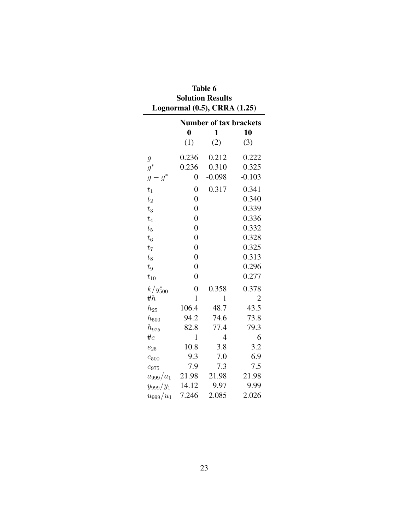|                        | <b>Number of tax brackets</b> |                |                |
|------------------------|-------------------------------|----------------|----------------|
|                        | $\boldsymbol{0}$              | $\mathbf{1}$   | 10             |
|                        | (1)                           | (2)            | (3)            |
| $\boldsymbol{g}$       | 0.236                         | 0.212          | 0.222          |
| $g^*$                  | 0.236                         | 0.310          | 0.325          |
| $g^*$<br>$\mathfrak g$ | 0                             | $-0.098$       | $-0.103$       |
| $t_1$                  | $\overline{0}$                | 0.317          | 0.341          |
| $t_2$                  | $\overline{0}$                |                | 0.340          |
| $t_3$                  | $\overline{0}$                |                | 0.339          |
| $t_4$                  | $\overline{0}$                |                | 0.336          |
| $t_5$                  | $\overline{0}$                |                | 0.332          |
| $t_6$                  | $\overline{0}$                |                | 0.328          |
| t <sub>7</sub>         | $\overline{0}$                |                | 0.325          |
| $t_8$                  | $\overline{0}$                |                | 0.313          |
| $t_{9}$                | $\overline{0}$                |                | 0.296          |
| $t_{10}$               | $\overline{0}$                |                | 0.277          |
| $k/y_{500}^*$          | $\overline{0}$                | 0.358          | 0.378          |
| # $h$                  | $\mathbf{1}$                  | 1              | $\overline{2}$ |
| $h_{25}$               | 106.4                         | 48.7           | 43.5           |
| $h_\mathrm{500}$       | 94.2                          | 74.6           | 73.8           |
| $h_{975}$              | 82.8                          | 77.4           | 79.3           |
| $\#e$                  | 1                             | $\overline{4}$ | 6              |
| $e_{25}$               | 10.8                          | 3.8            | 3.2            |
| $e_\mathrm{500}$       | 9.3                           | 7.0            | 6.9            |
| $e_{975}$              | 7.9                           | 7.3            | 7.5            |
| $a_{999}/a_1$          | 21.98                         | 21.98          | 21.98          |
| $y_{999}/y_1$          | 14.12                         | 9.97           | 9.99           |
| $u_{999}/u_1$          | 7.246                         | 2.085          | 2.026          |

Table 6 **Solution Results**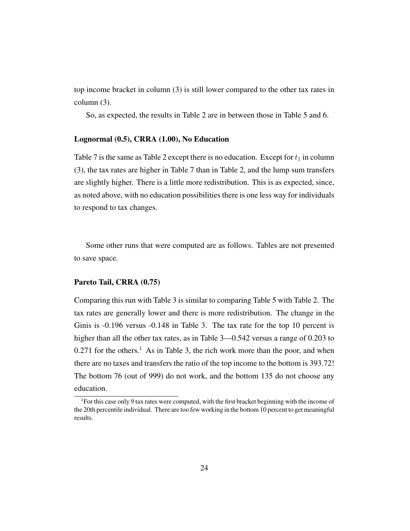top income bracket in column (3) is still lower compared to the other tax rates in column (3).

So, as expected, the results in Table 2 are in between those in Table 5 and 6.

#### Lognormal (0.5), CRRA (1.00), No Education

Table 7 is the same as Table 2 except there is no education. Except for  $t_1$  in column (3), the tax rates are higher in Table 7 than in Table 2, and the lump sum transfers are slightly higher. There is a little more redistribution. This is as expected, since, as noted above, with no education possibilities there is one less way for individuals to respond to tax changes.

Some other runs that were computed are as follows. Tables are not presented to save space.

#### Pareto Tail, CRRA (0.75)

Comparing this run with Table 3 is similar to comparing Table 5 with Table 2. The tax rates are generally lower and there is more redistribution. The change in the Ginis is -0.196 versus -0.148 in Table 3. The tax rate for the top 10 percent is higher than all the other tax rates, as in Table 3—0.542 versus a range of 0.203 to  $0.271$  for the others.<sup>1</sup> As in Table 3, the rich work more than the poor, and when there are no taxes and transfers the ratio of the top income to the bottom is 393.72! The bottom 76 (out of 999) do not work, and the bottom 135 do not choose any education.

<sup>&</sup>lt;sup>1</sup>For this case only 9 tax rates were computed, with the first bracket beginning with the income of the 20th percentile individual. There are too few working in the bottom 10 percent to get meaningful results.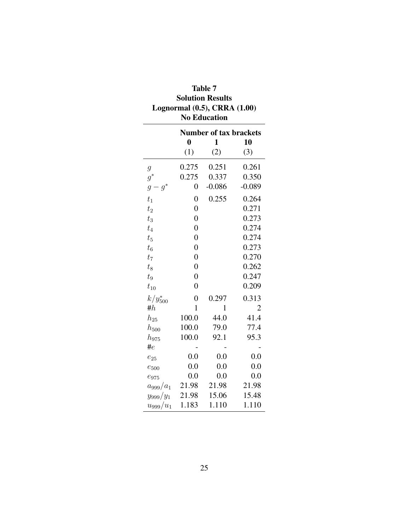| Lognormal (0.5), CRRA (1.00)<br><b>No Education</b> |                               |          |          |  |
|-----------------------------------------------------|-------------------------------|----------|----------|--|
|                                                     | <b>Number of tax brackets</b> |          |          |  |
|                                                     | $\boldsymbol{0}$              | 1        | 10       |  |
|                                                     | (1)                           | (2)      | (3)      |  |
| $\mathfrak g$                                       | 0.275                         | 0.251    | 0.261    |  |
| $g^\ast$                                            | 0.275                         | 0.337    | 0.350    |  |
| $g^*$<br>$\mathcal{G}_{\mathcal{G}}$                | 0                             | $-0.086$ | $-0.089$ |  |
| $t_1$                                               | $\overline{0}$                | 0.255    | 0.264    |  |
| $t_2$                                               | $\overline{0}$                |          | 0.271    |  |
| $t_3$                                               | $\overline{0}$                |          | 0.273    |  |
| $t_4$                                               | $\overline{0}$                |          | 0.274    |  |
| $t_{5}$                                             | $\overline{0}$                |          | 0.274    |  |
| $t_6$                                               | $\overline{0}$                |          | 0.273    |  |
| $t_7$                                               | $\overline{0}$                |          | 0.270    |  |
| $t_8$                                               | $\overline{0}$                |          | 0.262    |  |
| $\sqrt{t_{9}}$                                      | $\overline{0}$                |          | 0.247    |  |
| $t_{10}$                                            | $\overline{0}$                |          | 0.209    |  |
| $k/y_{500}^*$                                       | $\overline{0}$                | 0.297    | 0.313    |  |
| # $h$                                               | 1                             | 1        | 2        |  |
| $h_{25}$                                            | 100.0                         | 44.0     | 41.4     |  |
| $h_{500}$                                           | 100.0                         | 79.0     | 77.4     |  |
| $h_{975}$                                           | 100.0                         | 92.1     | 95.3     |  |
| $\#e$                                               |                               |          |          |  |
| $e_{25}$                                            | 0.0                           | 0.0      | 0.0      |  |
| $e_{500}$                                           | 0.0                           | 0.0      | 0.0      |  |
| $e_{975}$                                           | 0.0                           | 0.0      | 0.0      |  |
| $a_{999}/a_1$                                       | 21.98                         | 21.98    | 21.98    |  |
| $y_{999}/y_1$                                       | 21.98                         | 15.06    | 15.48    |  |
| $u_{999}/u_1$                                       | 1.183                         | 1.110    | 1.110    |  |

| Table 7                           |
|-----------------------------------|
| <b>Solution Results</b>           |
| Lognormal $(0.5)$ , CRRA $(1.00)$ |
| <b>No Education</b>               |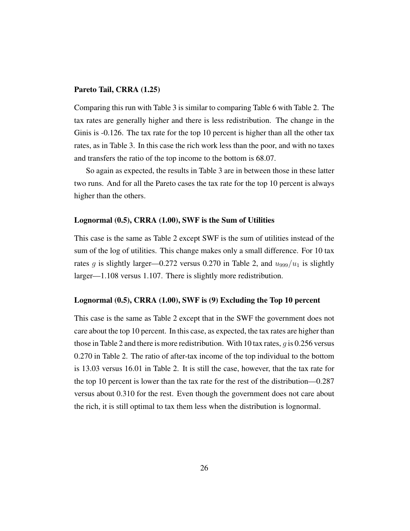#### Pareto Tail, CRRA (1.25)

Comparing this run with Table 3 is similar to comparing Table 6 with Table 2. The tax rates are generally higher and there is less redistribution. The change in the Ginis is -0.126. The tax rate for the top 10 percent is higher than all the other tax rates, as in Table 3. In this case the rich work less than the poor, and with no taxes and transfers the ratio of the top income to the bottom is 68.07.

So again as expected, the results in Table 3 are in between those in these latter two runs. And for all the Pareto cases the tax rate for the top 10 percent is always higher than the others.

#### Lognormal (0.5), CRRA (1.00), SWF is the Sum of Utilities

This case is the same as Table 2 except SWF is the sum of utilities instead of the sum of the log of utilities. This change makes only a small difference. For 10 tax rates g is slightly larger—0.272 versus 0.270 in Table 2, and  $u_{999}/u_1$  is slightly larger—1.108 versus 1.107. There is slightly more redistribution.

#### Lognormal (0.5), CRRA (1.00), SWF is (9) Excluding the Top 10 percent

This case is the same as Table 2 except that in the SWF the government does not care about the top 10 percent. In this case, as expected, the tax rates are higher than those in Table 2 and there is more redistribution. With 10 tax rates,  $q$  is 0.256 versus 0.270 in Table 2. The ratio of after-tax income of the top individual to the bottom is 13.03 versus 16.01 in Table 2. It is still the case, however, that the tax rate for the top 10 percent is lower than the tax rate for the rest of the distribution—0.287 versus about 0.310 for the rest. Even though the government does not care about the rich, it is still optimal to tax them less when the distribution is lognormal.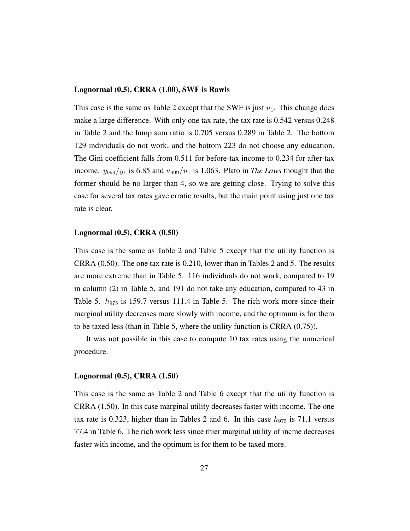#### Lognormal (0.5), CRRA (1.00), SWF is Rawls

This case is the same as Table 2 except that the SWF is just  $u_1$ . This change does make a large difference. With only one tax rate, the tax rate is 0.542 versus 0.248 in Table 2 and the lump sum ratio is 0.705 versus 0.289 in Table 2. The bottom 129 individuals do not work, and the bottom 223 do not choose any education. The Gini coefficient falls from 0.511 for before-tax income to 0.234 for after-tax income.  $y_{999}/y_1$  is 6.85 and  $u_{999}/u_1$  is 1.063. Plato in *The Laws* thought that the former should be no larger than 4, so we are getting close. Trying to solve this case for several tax rates gave erratic results, but the main point using just one tax rate is clear.

#### Lognormal (0.5), CRRA (0.50)

This case is the same as Table 2 and Table 5 except that the utility function is CRRA (0.50). The one tax rate is 0.210, lower than in Tables 2 and 5. The results are more extreme than in Table 5. 116 individuals do not work, compared to 19 in column (2) in Table 5, and 191 do not take any education, compared to 43 in Table 5.  $h_{975}$  is 159.7 versus 111.4 in Table 5. The rich work more since their marginal utility decreases more slowly with income, and the optimum is for them to be taxed less (than in Table 5, where the utility function is CRRA (0.75)).

It was not possible in this case to compute 10 tax rates using the numerical procedure.

#### Lognormal (0.5), CRRA (1.50)

This case is the same as Table 2 and Table 6 except that the utility function is CRRA (1.50). In this case marginal utility decreases faster with income. The one tax rate is 0.323, higher than in Tables 2 and 6. In this case  $h_{975}$  is 71.1 versus 77.4 in Table 6. The rich work less since thier marginal utility of incme decreases faster with income, and the optimum is for them to be taxed more.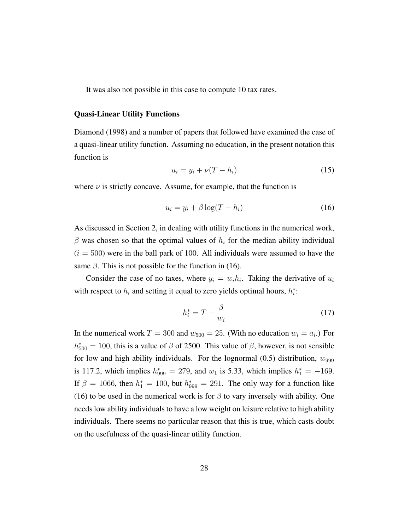It was also not possible in this case to compute 10 tax rates.

#### Quasi-Linear Utility Functions

Diamond (1998) and a number of papers that followed have examined the case of a quasi-linear utility function. Assuming no education, in the present notation this function is

$$
u_i = y_i + \nu(T - h_i) \tag{15}
$$

where  $\nu$  is strictly concave. Assume, for example, that the function is

$$
u_i = y_i + \beta \log(T - h_i) \tag{16}
$$

As discussed in Section 2, in dealing with utility functions in the numerical work,  $\beta$  was chosen so that the optimal values of  $h_i$  for the median ability individual  $(i = 500)$  were in the ball park of 100. All individuals were assumed to have the same  $\beta$ . This is not possible for the function in (16).

Consider the case of no taxes, where  $y_i = w_i h_i$ . Taking the derivative of  $u_i$ with respect to  $h_i$  and setting it equal to zero yields optimal hours,  $h_i^*$ :

$$
h_i^* = T - \frac{\beta}{w_i} \tag{17}
$$

In the numerical work  $T = 300$  and  $w_{500} = 25$ . (With no education  $w_i = a_i$ .) For  $h_{500}^{*} = 100$ , this is a value of  $\beta$  of 2500. This value of  $\beta$ , however, is not sensible for low and high ability individuals. For the lognormal  $(0.5)$  distribution,  $w_{999}$ is 117.2, which implies  $h_{999}^* = 279$ , and  $w_1$  is 5.33, which implies  $h_1^* = -169$ . If  $\beta = 1066$ , then  $h_1^* = 100$ , but  $h_{999}^* = 291$ . The only way for a function like (16) to be used in the numerical work is for  $\beta$  to vary inversely with ability. One needs low ability individuals to have a low weight on leisure relative to high ability individuals. There seems no particular reason that this is true, which casts doubt on the usefulness of the quasi-linear utility function.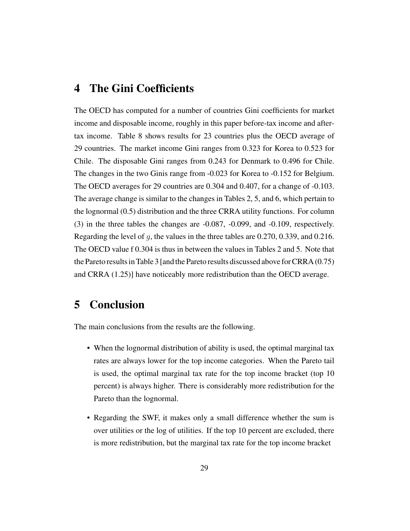### 4 The Gini Coefficients

The OECD has computed for a number of countries Gini coefficients for market income and disposable income, roughly in this paper before-tax income and aftertax income. Table 8 shows results for 23 countries plus the OECD average of 29 countries. The market income Gini ranges from 0.323 for Korea to 0.523 for Chile. The disposable Gini ranges from 0.243 for Denmark to 0.496 for Chile. The changes in the two Ginis range from -0.023 for Korea to -0.152 for Belgium. The OECD averages for 29 countries are 0.304 and 0.407, for a change of -0.103. The average change is similar to the changes in Tables 2, 5, and 6, which pertain to the lognormal (0.5) distribution and the three CRRA utility functions. For column (3) in the three tables the changes are -0.087, -0.099, and -0.109, respectively. Regarding the level of q, the values in the three tables are  $0.270, 0.339,$  and  $0.216$ . The OECD value f 0.304 is thus in between the values in Tables 2 and 5. Note that the Pareto results in Table 3 [and the Pareto results discussed above for CRRA (0.75) and CRRA (1.25)] have noticeably more redistribution than the OECD average.

### 5 Conclusion

The main conclusions from the results are the following.

- When the lognormal distribution of ability is used, the optimal marginal tax rates are always lower for the top income categories. When the Pareto tail is used, the optimal marginal tax rate for the top income bracket (top 10 percent) is always higher. There is considerably more redistribution for the Pareto than the lognormal.
- Regarding the SWF, it makes only a small difference whether the sum is over utilities or the log of utilities. If the top 10 percent are excluded, there is more redistribution, but the marginal tax rate for the top income bracket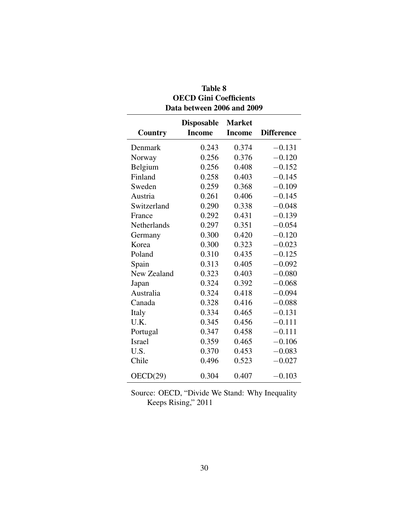| Country       | <b>Disposable</b><br><b>Income</b> | <b>Market</b><br><b>Income</b> | <b>Difference</b> |
|---------------|------------------------------------|--------------------------------|-------------------|
| Denmark       | 0.243                              | 0.374                          | $-0.131$          |
| Norway        | 0.256                              | 0.376                          | $-0.120$          |
| Belgium       | 0.256                              | 0.408                          | $-0.152$          |
| Finland       | 0.258                              | 0.403                          | $-0.145$          |
| Sweden        | 0.259                              | 0.368                          | $-0.109$          |
| Austria       | 0.261                              | 0.406                          | $-0.145$          |
| Switzerland   | 0.290                              | 0.338                          | $-0.048$          |
| France        | 0.292                              | 0.431                          | $-0.139$          |
| Netherlands   | 0.297                              | 0.351                          | $-0.054$          |
| Germany       | 0.300                              | 0.420                          | $-0.120$          |
| Korea         | 0.300                              | 0.323                          | $-0.023$          |
| Poland        | 0.310                              | 0.435                          | $-0.125$          |
| Spain         | 0.313                              | 0.405                          | $-0.092$          |
| New Zealand   | 0.323                              | 0.403                          | $-0.080$          |
| Japan         | 0.324                              | 0.392                          | $-0.068$          |
| Australia     | 0.324                              | 0.418                          | $-0.094$          |
| Canada        | 0.328                              | 0.416                          | $-0.088$          |
| Italy         | 0.334                              | 0.465                          | $-0.131$          |
| U.K.          | 0.345                              | 0.456                          | $-0.111$          |
| Portugal      | 0.347                              | 0.458                          | $-0.111$          |
| <b>Israel</b> | 0.359                              | 0.465                          | $-0.106$          |
| U.S.          | 0.370                              | 0.453                          | $-0.083$          |
| Chile         | 0.496                              | 0.523                          | $-0.027$          |
| OECD(29)      | 0.304                              | 0.407                          | $-0.103$          |

### Table 8 OECD Gini Coefficients Data between 2006 and 2009

Source: OECD, "Divide We Stand: Why Inequality Keeps Rising," 2011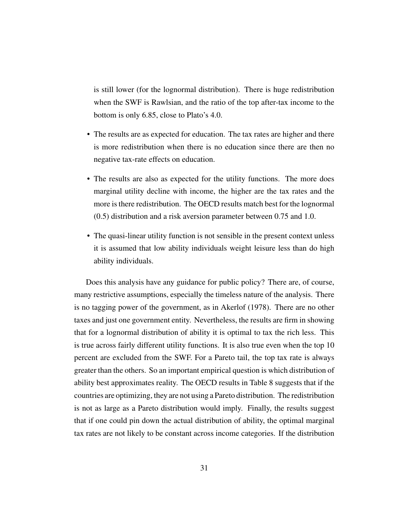is still lower (for the lognormal distribution). There is huge redistribution when the SWF is Rawlsian, and the ratio of the top after-tax income to the bottom is only 6.85, close to Plato's 4.0.

- The results are as expected for education. The tax rates are higher and there is more redistribution when there is no education since there are then no negative tax-rate effects on education.
- The results are also as expected for the utility functions. The more does marginal utility decline with income, the higher are the tax rates and the more is there redistribution. The OECD results match best for the lognormal (0.5) distribution and a risk aversion parameter between 0.75 and 1.0.
- The quasi-linear utility function is not sensible in the present context unless it is assumed that low ability individuals weight leisure less than do high ability individuals.

Does this analysis have any guidance for public policy? There are, of course, many restrictive assumptions, especially the timeless nature of the analysis. There is no tagging power of the government, as in Akerlof (1978). There are no other taxes and just one government entity. Nevertheless, the results are firm in showing that for a lognormal distribution of ability it is optimal to tax the rich less. This is true across fairly different utility functions. It is also true even when the top 10 percent are excluded from the SWF. For a Pareto tail, the top tax rate is always greater than the others. So an important empirical question is which distribution of ability best approximates reality. The OECD results in Table 8 suggests that if the countries are optimizing, they are not using a Pareto distribution. The redistribution is not as large as a Pareto distribution would imply. Finally, the results suggest that if one could pin down the actual distribution of ability, the optimal marginal tax rates are not likely to be constant across income categories. If the distribution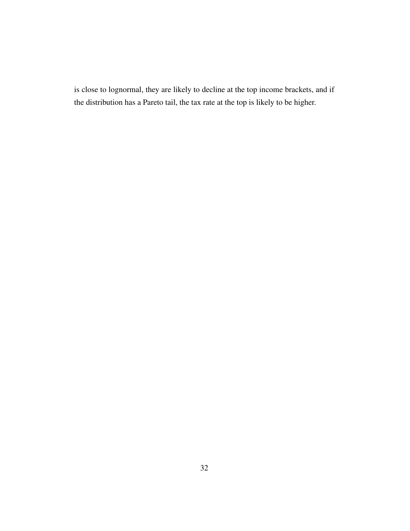is close to lognormal, they are likely to decline at the top income brackets, and if the distribution has a Pareto tail, the tax rate at the top is likely to be higher.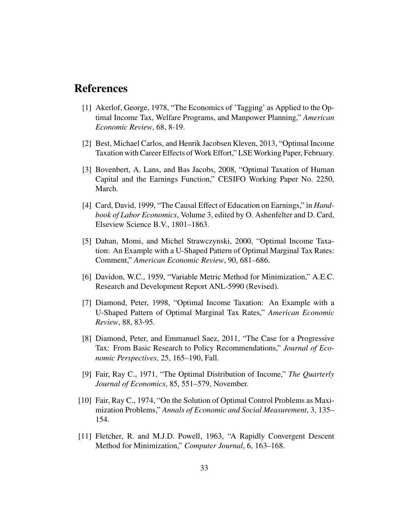### References

- [1] Akerlof, George, 1978, "The Economics of 'Tagging' as Applied to the Optimal Income Tax, Welfare Programs, and Manpower Planning," *American Economic Review*, 68, 8-19.
- [2] Best, Michael Carlos, and Henrik Jacobsen Kleven, 2013, "Optimal Income Taxation with Career Effects of Work Effort," LSE Working Paper, February.
- [3] Bovenbert, A. Lans, and Bas Jacobs, 2008, "Optimal Taxation of Human Capital and the Earnings Function," CESIFO Working Paper No. 2250, March.
- [4] Card, David, 1999, "The Causal Effect of Education on Earnings," in *Handbook of Labor Economics*, Volume 3, edited by O. Ashenfelter and D. Card, Elseview Science B.V., 1801–1863.
- [5] Dahan, Momi, and Michel Strawczynski, 2000, "Optimal Income Taxation: An Example with a U-Shaped Pattern of Optimal Marginal Tax Rates: Comment," *American Economic Review*, 90, 681–686.
- [6] Davidon, W.C., 1959, "Variable Metric Method for Minimization," A.E.C. Research and Development Report ANL-5990 (Revised).
- [7] Diamond, Peter, 1998, "Optimal Income Taxation: An Example with a U-Shaped Pattern of Optimal Marginal Tax Rates," *American Economic Review*, 88, 83-95.
- [8] Diamond, Peter, and Emmanuel Saez, 2011, "The Case for a Progressive Tax: From Basic Research to Policy Recommendations," *Journal of Economic Perspectives*, 25, 165–190, Fall.
- [9] Fair, Ray C., 1971, "The Optimal Distribution of Income," *The Quarterly Journal of Economics*, 85, 551–579, November.
- [10] Fair, Ray C., 1974, "On the Solution of Optimal Control Problems as Maximization Problems," *Annals of Economic and Social Measurement*, 3, 135– 154.
- [11] Fletcher, R. and M.J.D. Powell, 1963, "A Rapidly Convergent Descent Method for Minimization," *Computer Journal*, 6, 163–168.